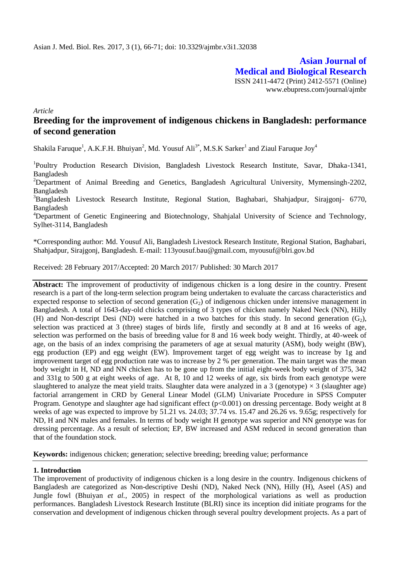**Asian Journal of Medical and Biological Research** ISSN 2411-4472 (Print) 2412-5571 (Online) www.ebupress.com/journal/ajmbr

*Article*

# **Breeding for the improvement of indigenous chickens in Bangladesh: performance of second generation**

Shakila Faruque<sup>1</sup>, A.K.F.H. Bhuiyan<sup>2</sup>, Md. Yousuf Ali<sup>3\*</sup>, M.S.K Sarker<sup>1</sup> and Ziaul Faruque Joy<sup>4</sup>

<sup>1</sup>Poultry Production Research Division, Bangladesh Livestock Research Institute, Savar, Dhaka-1341, Bangladesh

<sup>2</sup>Department of Animal Breeding and Genetics, Bangladesh Agricultural University, Mymensingh-2202, Bangladesh

<sup>3</sup>Bangladesh Livestock Research Institute, Regional Station, Baghabari, Shahjadpur, Sirajgonj- 6770, Bangladesh

<sup>4</sup>Department of Genetic Engineering and Biotechnology, Shahjalal University of Science and Technology, Sylhet-3114, Bangladesh

\*Corresponding author: Md. Yousuf Ali, Bangladesh Livestock Research Institute, Regional Station, Baghabari, Shahjadpur, Sirajgonj, Bangladesh. E-mail: 113yousuf.bau@gmail.com, myousuf@blri.gov.bd

Received: 28 February 2017/Accepted: 20 March 2017/ Published: 30 March 2017

**Abstract:** The improvement of productivity of indigenous chicken is a long desire in the country. Present research is a part of the long-term selection program being undertaken to evaluate the carcass characteristics and expected response to selection of second generation  $(G_2)$  of indigenous chicken under intensive management in Bangladesh. A total of 1643-day-old chicks comprising of 3 types of chicken namely Naked Neck (NN), Hilly (H) and Non-descript Desi (ND) were hatched in a two batches for this study. In second generation  $(G_2)$ , selection was practiced at 3 (three) stages of birds life, firstly and secondly at 8 and at 16 weeks of age, selection was performed on the basis of breeding value for 8 and 16 week body weight. Thirdly, at 40-week of age, on the basis of an index comprising the parameters of age at sexual maturity (ASM), body weight (BW), egg production (EP) and egg weight (EW). Improvement target of egg weight was to increase by 1g and improvement target of egg production rate was to increase by 2 % per generation. The main target was the mean body weight in H, ND and NN chicken has to be gone up from the initial eight-week body weight of 375, 342 and 331g to 500 g at eight weeks of age. At 8, 10 and 12 weeks of age, six birds from each genotype were slaughtered to analyze the meat yield traits. Slaughter data were analyzed in a 3 (genotype)  $\times$  3 (slaughter age) factorial arrangement in CRD by General Linear Model (GLM) Univariate Procedure in SPSS Computer Program. Genotype and slaughter age had significant effect (p<0.001) on dressing percentage. Body weight at 8 weeks of age was expected to improve by 51.21 vs. 24.03; 37.74 vs. 15.47 and 26.26 vs. 9.65g; respectively for ND, H and NN males and females. In terms of body weight H genotype was superior and NN genotype was for dressing percentage. As a result of selection; EP, BW increased and ASM reduced in second generation than that of the foundation stock.

**Keywords:** indigenous chicken; generation; selective breeding; breeding value; performance

### **1. Introduction**

The improvement of productivity of indigenous chicken is a long desire in the country. Indigenous chickens of Bangladesh are categorized as Non-descriptive Deshi (ND), Naked Neck (NN), Hilly (H), Aseel (AS) and Jungle fowl (Bhuiyan *et al.,* 2005) in respect of the morphological variations as well as production performances. Bangladesh Livestock Research Institute (BLRI) since its inception did initiate programs for the conservation and development of indigenous chicken through several poultry development projects. As a part of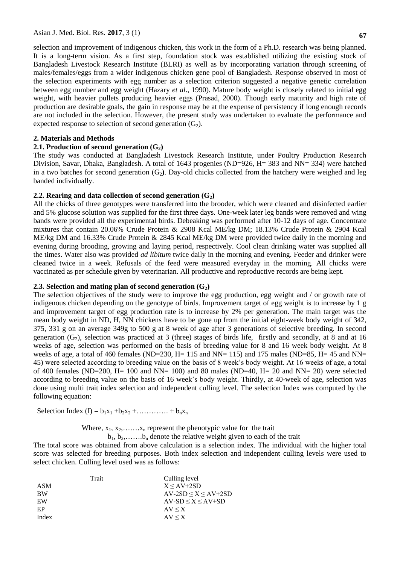**67**

selection and improvement of indigenous chicken, this work in the form of a Ph.D. research was being planned. It is a long-term vision. As a first step, foundation stock was established utilizing the existing stock of Bangladesh Livestock Research Institute (BLRI) as well as by incorporating variation through screening of males/females/eggs from a wider indigenous chicken gene pool of Bangladesh. Response observed in most of the selection experiments with egg number as a selection criterion suggested a negative genetic correlation between egg number and egg weight (Hazary *et al*., 1990). Mature body weight is closely related to initial egg weight, with heavier pullets producing heavier eggs (Prasad, 2000). Though early maturity and high rate of production are desirable goals, the gain in response may be at the expense of persistency if long enough records are not included in the selection. However, the present study was undertaken to evaluate the performance and expected response to selection of second generation  $(G_2)$ .

### **2. Materials and Methods**

### **2.1. Production of second generation**  $(G_2)$

The study was conducted at Bangladesh Livestock Research Institute, under Poultry Production Research Division, Savar, Dhaka, Bangladesh. A total of 1643 progenies (ND=926, H= 383 and NN= 334) were hatched in a two batches for second generation  $(G_2)$ . Day-old chicks collected from the hatchery were weighed and leg banded individually.

### **2.2. Rearing and data collection of second generation**  $(G_2)$

All the chicks of three genotypes were transferred into the brooder, which were cleaned and disinfected earlier and 5% glucose solution was supplied for the first three days. One-week later leg bands were removed and wing bands were provided all the experimental birds. Debeaking was performed after 10-12 days of age. Concentrate mixtures that contain 20.06% Crude Protein & 2908 Kcal ME/kg DM; 18.13% Crude Protein & 2904 Kcal ME/kg DM and 16.33% Crude Protein & 2845 Kcal ME/kg DM were provided twice daily in the morning and evening during brooding, growing and laying period, respectively. Cool clean drinking water was supplied all the times. Water also was provided *ad libitum* twice daily in the morning and evening. Feeder and drinker were cleaned twice in a week. Refusals of the feed were measured everyday in the morning. All chicks were vaccinated as per schedule given by veterinarian. All productive and reproductive records are being kept.

### **2.3. Selection and mating plan of second generation (G2)**

The selection objectives of the study were to improve the egg production, egg weight and / or growth rate of indigenous chicken depending on the genotype of birds. Improvement target of egg weight is to increase by 1 g and improvement target of egg production rate is to increase by 2% per generation. The main target was the mean body weight in ND, H, NN chickens have to be gone up from the initial eight-week body weight of 342, 375, 331 g on an average 349g to 500 g at 8 week of age after 3 generations of selective breeding. In second generation  $(G_2)$ , selection was practiced at 3 (three) stages of birds life, firstly and secondly, at 8 and at 16 weeks of age, selection was performed on the basis of breeding value for 8 and 16 week body weight. At 8 weeks of age, a total of 460 females (ND=230, H= 115 and NN= 115) and 175 males (ND=85, H= 45 and NN= 45) were selected according to breeding value on the basis of 8 week's body weight. At 16 weeks of age, a total of 400 females (ND=200, H= 100 and NN= 100) and 80 males (ND=40, H= 20 and NN= 20) were selected according to breeding value on the basis of 16 week's body weight. Thirdly, at 40-week of age, selection was done using multi trait index selection and independent culling level. The selection Index was computed by the following equation:

Selection Index (I) =  $b_1x_1 + b_2x_2 + \dots + b_nx_n$ 

Where,  $x_1, x_2, \ldots, x_n$  represent the phenotypic value for the trait

 $b_1, b_2, \ldots, b_n$  denote the relative weight given to each of the trait

The total score was obtained from above calculation is a selection index. The individual with the higher total score was selected for breeding purposes. Both index selection and independent culling levels were used to select chicken. Culling level used was as follows:

|           | Trait | Culling level               |
|-----------|-------|-----------------------------|
| ASM       |       | $X < A V + 2SD$             |
| <b>BW</b> |       | $AV-2SD \leq X \leq AV+2SD$ |
| EW        |       | $AV-SD \leq X \leq AV+SD$   |
| EP        |       | $AV \leq X$                 |
| Index     |       | $AV \leq X$                 |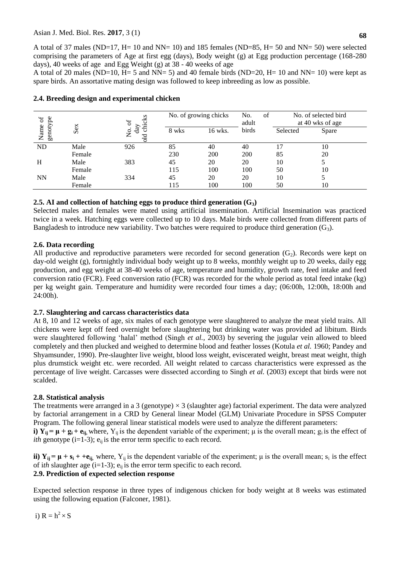A total of 37 males (ND=17, H= 10 and NN= 10) and 185 females (ND=85, H= 50 and NN= 50) were selected comprising the parameters of Age at first egg (days), Body weight (g) at Egg production percentage (168-280 days), 40 weeks of age and Egg Weight (g) at 38 - 40 weeks of age

A total of 20 males (ND=10,  $H = 5$  and NN= 5) and 40 female birds (ND=20,  $H = 10$  and NN= 10) were kept as spare birds. An assortative mating design was followed to keep inbreeding as low as possible.

| ď                |        | chicks<br>'ಕ                 | No. of growing chicks |         | No.<br>of<br>adult | No. of selected bird<br>at 40 wks of age |       |
|------------------|--------|------------------------------|-----------------------|---------|--------------------|------------------------------------------|-------|
| genotype<br>Name | Sex    | day<br>$\overline{z}$<br>Бlо | 8 wks                 | 16 wks. | birds              | Selected                                 | Spare |
| ND               | Male   | 926                          | 85                    | 40      | 40                 | 17                                       | 10    |
|                  | Female |                              | 230                   | 200     | 200                | 85                                       | 20    |
| H                | Male   | 383                          | 45                    | 20      | 20                 | 10                                       |       |
|                  | Female |                              | 115                   | 100     | 100                | 50                                       | 10    |
| <b>NN</b>        | Male   | 334                          | 45                    | 20      | 20                 | 10                                       |       |
|                  | Female |                              | 115                   | 100     | 100                | 50                                       | 10    |

## **2.4. Breeding design and experimental chicken**

# **2.5. AI and collection of hatching eggs to produce third generation (G3)**

Selected males and females were mated using artificial insemination. Artificial Insemination was practiced twice in a week. Hatching eggs were collected up to 10 days. Male birds were collected from different parts of Bangladesh to introduce new variability. Two batches were required to produce third generation  $(G_3)$ .

# **2.6. Data recording**

All productive and reproductive parameters were recorded for second generation  $(G_2)$ . Records were kept on day-old weight (g), fortnightly individual body weight up to 8 weeks, monthly weight up to 20 weeks, daily egg production, and egg weight at 38-40 weeks of age, temperature and humidity, growth rate, feed intake and feed conversion ratio (FCR). Feed conversion ratio (FCR) was recorded for the whole period as total feed intake (kg) per kg weight gain. Temperature and humidity were recorded four times a day; (06:00h, 12:00h, 18:00h and 24:00h).

## **2.7. Slaughtering and carcass characteristics data**

At 8, 10 and 12 weeks of age, six males of each genotype were slaughtered to analyze the meat yield traits. All chickens were kept off feed overnight before slaughtering but drinking water was provided ad libitum. Birds were slaughtered following 'halal' method (Singh *et al.,* 2003) by severing the jugular vein allowed to bleed completely and then plucked and weighed to determine blood and feather losses (Kotula *et al.* 1960; Pandey and Shyamsunder, 1990). Pre-slaughter live weight, blood loss weight, eviscerated weight, breast meat weight, thigh plus drumstick weight etc. were recorded. All weight related to carcass characteristics were expressed as the percentage of live weight. Carcasses were dissected according to Singh *et al.* (2003) except that birds were not scalded.

### **2.8. Statistical analysis**

The treatments were arranged in a 3 (genotype)  $\times$  3 (slaughter age) factorial experiment. The data were analyzed by factorial arrangement in a CRD by General linear Model (GLM) Univariate Procedure in SPSS Computer Program. The following general linear statistical models were used to analyze the different parameters: **i)**  $Y_{ii} = \mu + g_i + e_{ii}$ , where,  $Y_{ii}$  is the dependent variable of the experiment;  $\mu$  is the overall mean;  $g_i$  is the effect of *ith* genotype  $(i=1-3)$ ;  $e_{ii}$  is the error term specific to each record.

**ii)**  $Y_{ij} = \mu + s_i + e_{ij}$ , where,  $Y_{ij}$  is the dependent variable of the experiment;  $\mu$  is the overall mean;  $s_i$  is the effect of ith slaughter age  $(i=1-3)$ ;  $e_{ii}$  is the error term specific to each record.

# **2.9. Prediction of expected selection response**

Expected selection response in three types of indigenous chicken for body weight at 8 weeks was estimated using the following equation (Falconer, 1981).

i) 
$$
R = h^2 \times S
$$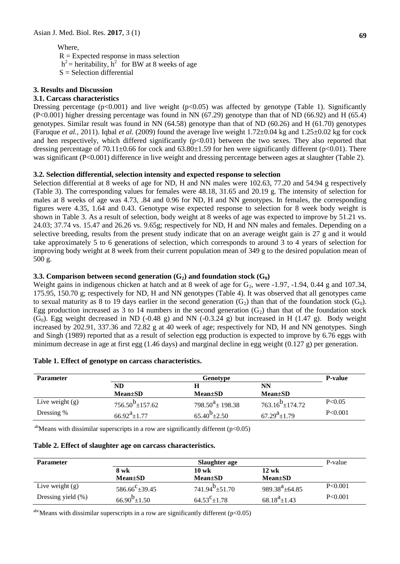# Where,

 $R =$  Expected response in mass selection  $h^2$  = heritability,  $h^2$  for BW at 8 weeks of age  $S =$  Selection differential

### **3. Results and Discussion**

### **3.1. Carcass characteristics**

Dressing percentage ( $p<0.001$ ) and live weight ( $p<0.05$ ) was affected by genotype (Table 1). Significantly (P<0.001) higher dressing percentage was found in NN (67.29) genotype than that of ND (66.92) and H (65.4) genotypes. Similar result was found in NN (64.58) genotype than that of ND (60.26) and H (61.70) genotypes (Faruque *et al.,* 2011). Iqbal *et al.* (2009) found the average live weight 1.72±0.04 kg and 1.25±0.02 kg for cock and hen respectively, which differed significantly (p<0.01) between the two sexes. They also reported that dressing percentage of  $70.11\pm0.66$  for cock and  $63.80\pm1.59$  for hen were significantly different (p<0.01). There was significant (P<0.001) difference in live weight and dressing percentage between ages at slaughter (Table 2).

### **3.2. Selection differential, selection intensity and expected response to selection**

Selection differential at 8 weeks of age for ND, H and NN males were 102.63, 77.20 and 54.94 g respectively (Table 3). The corresponding values for females were 48.18, 31.65 and 20.19 g. The intensity of selection for males at 8 weeks of age was 4.73, .84 and 0.96 for ND, H and NN genotypes. In females, the corresponding figures were 4.35, 1.64 and 0.43. Genotype wise expected response to selection for 8 week body weight is shown in Table 3. As a result of selection, body weight at 8 weeks of age was expected to improve by 51.21 vs. 24.03; 37.74 vs. 15.47 and 26.26 vs. 9.65g; respectively for ND, H and NN males and females. Depending on a selective breeding, results from the present study indicate that on an average weight gain is 27 g and it would take approximately 5 to 6 generations of selection, which corresponds to around 3 to 4 years of selection for improving body weight at 8 week from their current population mean of 349 g to the desired population mean of 500 g.

### **3.3. Comparison between second generation (G2) and foundation stock (G0)**

Weight gains in indigenous chicken at hatch and at 8 week of age for  $G_2$ , were -1.97, -1.94, 0.44 g and 107.34, 175.95, 150.70 g; respectively for ND, H and NN genotypes (Table 4). It was observed that all genotypes came to sexual maturity as 8 to 19 days earlier in the second generation  $(G_2)$  than that of the foundation stock  $(G_0)$ . Egg production increased as 3 to 14 numbers in the second generation  $(G_2)$  than that of the foundation stock  $(G_0)$ . Egg weight decreased in ND (-0.48 g) and NN (-0.3.24 g) but increased in H (1.47 g). Body weight increased by 202.91, 337.36 and 72.82 g at 40 week of age; respectively for ND, H and NN genotypes. Singh and Singh (1989) reported that as a result of selection egg production is expected to improve by 6.76 eggs with minimum decrease in age at first egg (1.46 days) and marginal decline in egg weight (0.127 g) per generation.

| <b>Parameter</b>  |                         | Genotype                       |                         |         |  |
|-------------------|-------------------------|--------------------------------|-------------------------|---------|--|
|                   | ND                      |                                | NN                      |         |  |
|                   | $Mean \pm SD$           | $Mean \pm SD$                  | $Mean \pm SD$           |         |  |
| Live weight $(g)$ | $756.50^{b} \pm 157.62$ | $798.50^{\text{a}} \pm 198.38$ | $763.16^{b} \pm 174.72$ | P<0.05  |  |
| Dressing %        | $66.92^a \pm 1.77$      | $65.40^{b} \pm 2.50$           | $67.29^{\rm a}$ ± 1.79  | P<0.001 |  |

### **Table 1. Effect of genotype on carcass characteristics.**

<sup>ab</sup>Means with dissimilar superscripts in a row are significantly different ( $p<0.05$ )

|  |  |  |  |  | Table 2. Effect of slaughter age on carcass characteristics. |
|--|--|--|--|--|--------------------------------------------------------------|
|--|--|--|--|--|--------------------------------------------------------------|

| <b>Parameter</b>      | Slaughter age            |                                 |                      |         |  |  |  |
|-----------------------|--------------------------|---------------------------------|----------------------|---------|--|--|--|
|                       | 8 wk                     | $10 \text{ wk}$                 | $12 \text{ wk}$      |         |  |  |  |
|                       | $Mean \pm SD$            | $Mean \pm SD$                   | $Mean \pm SD$        |         |  |  |  |
| Live weight $(g)$     | $586.66^{\circ}$ ± 39.45 | $741.94^{\mathrm{D}} \pm 51.70$ | $989.38^{a}$ ± 64.85 | P<0.001 |  |  |  |
| Dressing yield $(\%)$ | $66.90^{b}$ ± 1.50       | $64.53^{\circ}$ ± 1.78          | $68.18^{a} \pm 1.43$ | P<0.001 |  |  |  |

 $a<sup>abc</sup>$ Means with dissimilar superscripts in a row are significantly different (p<0.05)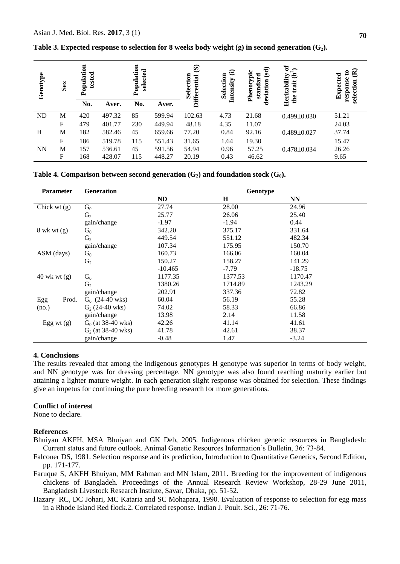| Genotype  | Sex | ᄐ<br>Populati<br>tested |        | Population<br>selected |        | $\widehat{\mathbf{G}}$<br>Selection<br><b>Differential</b> | $\oplus$<br>Selection<br>Intensity | न्नु<br>typic<br>standard<br>iation<br>Phenot | ð<br>$\sqrt{2}$<br>උ<br>Heritability<br>trait<br>the | ຂ<br>ຂ<br>Expected<br>response<br>selection |
|-----------|-----|-------------------------|--------|------------------------|--------|------------------------------------------------------------|------------------------------------|-----------------------------------------------|------------------------------------------------------|---------------------------------------------|
|           |     | No.                     | Aver.  | No.                    | Aver.  |                                                            |                                    | Ō                                             |                                                      |                                             |
| <b>ND</b> | M   | 420                     | 497.32 | 85                     | 599.94 | 102.63                                                     | 4.73                               | 21.68                                         | $0.499 \pm 0.030$                                    | 51.21                                       |
|           | F   | 479                     | 401.77 | 230                    | 449.94 | 48.18                                                      | 4.35                               | 11.07                                         |                                                      | 24.03                                       |
| H         | M   | 182                     | 582.46 | 45                     | 659.66 | 77.20                                                      | 0.84                               | 92.16                                         | $0.489 \pm 0.027$                                    | 37.74                                       |
|           | F   | 186                     | 519.78 | 115                    | 551.43 | 31.65                                                      | 1.64                               | 19.30                                         |                                                      | 15.47                                       |
| <b>NN</b> | M   | 157                     | 536.61 | 45                     | 591.56 | 54.94                                                      | 0.96                               | 57.25                                         | $0.478 \pm 0.034$                                    | 26.26                                       |
|           | F   | 168                     | 428.07 | 115                    | 448.27 | 20.19                                                      | 0.43                               | 46.62                                         |                                                      | 9.65                                        |

**Table 3. Expected response to selection for 8 weeks body weight (g) in second generation (G2).**

**Table 4. Comparison between second generation**  $(G_2)$  **and foundation stock**  $(G_0)$ **.** 

| <b>Parameter</b> | <b>Generation</b>    | Genotype  |         |           |  |  |
|------------------|----------------------|-----------|---------|-----------|--|--|
|                  |                      | <b>ND</b> | $\bf H$ | <b>NN</b> |  |  |
| Chick wt $(g)$   | $G_0$                | 27.74     | 28.00   | 24.96     |  |  |
|                  | G <sub>2</sub>       | 25.77     | 26.06   | 25.40     |  |  |
|                  | gain/change          | $-1.97$   | $-1.94$ | 0.44      |  |  |
| $8$ wk wt $(g)$  | $G_0$                | 342.20    | 375.17  | 331.64    |  |  |
|                  | G <sub>2</sub>       | 449.54    | 551.12  | 482.34    |  |  |
|                  | gain/change          | 107.34    | 175.95  | 150.70    |  |  |
| ASM (days)       | $\mathrm{G}_0$       | 160.73    | 166.06  | 160.04    |  |  |
|                  | G <sub>2</sub>       | 150.27    | 158.27  | 141.29    |  |  |
|                  |                      | $-10.465$ | $-7.79$ | $-18.75$  |  |  |
| $40$ wk wt $(g)$ | $G_0$                | 1177.35   | 1377.53 | 1170.47   |  |  |
|                  | G <sub>2</sub>       | 1380.26   | 1714.89 | 1243.29   |  |  |
|                  | gain/change          | 202.91    | 337.36  | 72.82     |  |  |
| Egg<br>Prod.     | $G_0$ (24-40 wks)    | 60.04     | 56.19   | 55.28     |  |  |
| (no.)            | $G_2$ (24-40 wks)    | 74.02     | 58.33   | 66.86     |  |  |
|                  | gain/change          | 13.98     | 2.14    | 11.58     |  |  |
| Egg wt $(g)$     | $G_0$ (at 38-40 wks) | 42.26     | 41.14   | 41.61     |  |  |
|                  | $G_2$ (at 38-40 wks) | 41.78     | 42.61   | 38.37     |  |  |
|                  | gain/change          | $-0.48$   | 1.47    | $-3.24$   |  |  |

### **4. Conclusions**

The results revealed that among the indigenous genotypes H genotype was superior in terms of body weight, and NN genotype was for dressing percentage. NN genotype was also found reaching maturity earlier but attaining a lighter mature weight. In each generation slight response was obtained for selection. These findings give an impetus for continuing the pure breeding research for more generations.

### **Conflict of interest**

None to declare.

### **References**

- Bhuiyan AKFH, MSA Bhuiyan and GK Deb, 2005. Indigenous chicken genetic resources in Bangladesh: Current status and future outlook. Animal Genetic Resources Information's Bulletin, 36: 73-84.
- Falconer DS, 1981. Selection response and its prediction, Introduction to Quantitative Genetics, Second Edition, pp. 171-177.

Faruque S, AKFH Bhuiyan, MM Rahman and MN Islam, 2011. Breeding for the improvement of indigenous chickens of Bangladeh. Proceedings of the Annual Research Review Workshop, 28-29 June 2011, Bangladesh Livestock Research Instiute, Savar, Dhaka, pp. 51-52.

Hazary RC, DC Johari, MC Kataria and SC Mohapara, 1990. Evaluation of response to selection for egg mass in a Rhode Island Red flock.2. Correlated response. Indian J. Poult. Sci., 26: 71-76.